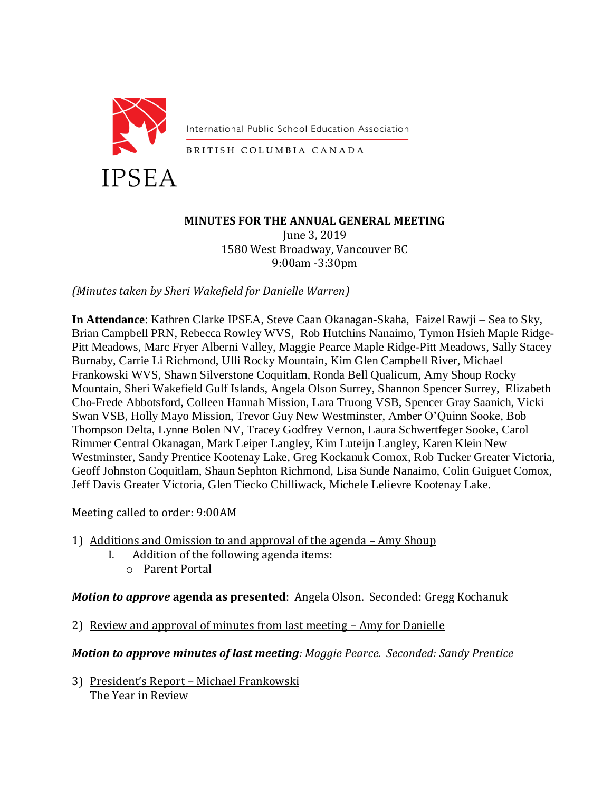

International Public School Education Association

BRITISH COLUMBIA CANADA

# **MINUTES FOR THE ANNUAL GENERAL MEETING** June 3, 2019

1580 West Broadway, Vancouver BC 9:00am -3:30pm

*(Minutes taken by Sheri Wakefield for Danielle Warren)*

**In Attendance**: Kathren Clarke IPSEA, Steve Caan Okanagan-Skaha, Faizel Rawji – Sea to Sky, Brian Campbell PRN, Rebecca Rowley WVS, Rob Hutchins Nanaimo, Tymon Hsieh Maple Ridge-Pitt Meadows, Marc Fryer Alberni Valley, Maggie Pearce Maple Ridge-Pitt Meadows, Sally Stacey Burnaby, Carrie Li Richmond, Ulli Rocky Mountain, Kim Glen Campbell River, Michael Frankowski WVS, Shawn Silverstone Coquitlam, Ronda Bell Qualicum, Amy Shoup Rocky Mountain, Sheri Wakefield Gulf Islands, Angela Olson Surrey, Shannon Spencer Surrey, Elizabeth Cho-Frede Abbotsford, Colleen Hannah Mission, Lara Truong VSB, Spencer Gray Saanich, Vicki Swan VSB, Holly Mayo Mission, Trevor Guy New Westminster, Amber O'Quinn Sooke, Bob Thompson Delta, Lynne Bolen NV, Tracey Godfrey Vernon, Laura Schwertfeger Sooke, Carol Rimmer Central Okanagan, Mark Leiper Langley, Kim Luteijn Langley, Karen Klein New Westminster, Sandy Prentice Kootenay Lake, Greg Kockanuk Comox, Rob Tucker Greater Victoria, Geoff Johnston Coquitlam, Shaun Sephton Richmond, Lisa Sunde Nanaimo, Colin Guiguet Comox, Jeff Davis Greater Victoria, Glen Tiecko Chilliwack, Michele Lelievre Kootenay Lake.

Meeting called to order: 9:00AM

- 1) Additions and Omission to and approval of the agenda Amy Shoup
	- I. Addition of the following agenda items:
		- o Parent Portal

## *Motion to approve* **agenda as presented**: Angela Olson. Seconded: Gregg Kochanuk

2) Review and approval of minutes from last meeting – Amy for Danielle

*Motion to approve minutes of last meeting: Maggie Pearce. Seconded: Sandy Prentice*

3) President's Report – Michael Frankowski The Year in Review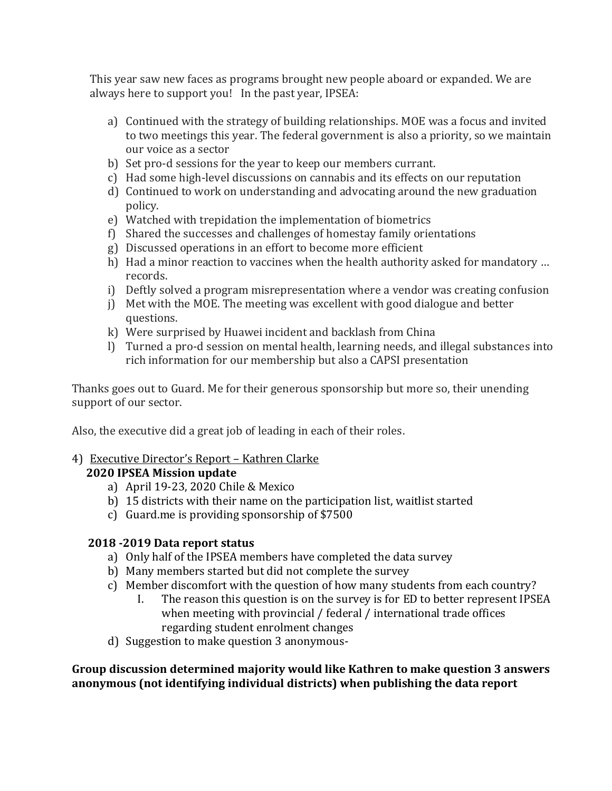This year saw new faces as programs brought new people aboard or expanded. We are always here to support you! In the past year, IPSEA:

- a) Continued with the strategy of building relationships. MOE was a focus and invited to two meetings this year. The federal government is also a priority, so we maintain our voice as a sector
- b) Set pro-d sessions for the year to keep our members currant.
- c) Had some high-level discussions on cannabis and its effects on our reputation
- d) Continued to work on understanding and advocating around the new graduation policy.
- e) Watched with trepidation the implementation of biometrics
- f) Shared the successes and challenges of homestay family orientations
- g) Discussed operations in an effort to become more efficient
- h) Had a minor reaction to vaccines when the health authority asked for mandatory … records.
- i) Deftly solved a program misrepresentation where a vendor was creating confusion
- j) Met with the MOE. The meeting was excellent with good dialogue and better questions.
- k) Were surprised by Huawei incident and backlash from China
- l) Turned a pro-d session on mental health, learning needs, and illegal substances into rich information for our membership but also a CAPSI presentation

Thanks goes out to Guard. Me for their generous sponsorship but more so, their unending support of our sector.

Also, the executive did a great job of leading in each of their roles.

# 4) Executive Director's Report – Kathren Clarke

# **2020 IPSEA Mission update**

- a) April 19-23, 2020 Chile & Mexico
- b) 15 districts with their name on the participation list, waitlist started
- c) Guard.me is providing sponsorship of \$7500

# **2018 -2019 Data report status**

- a) Only half of the IPSEA members have completed the data survey
- b) Many members started but did not complete the survey
- c) Member discomfort with the question of how many students from each country?
	- I. The reason this question is on the survey is for ED to better represent IPSEA when meeting with provincial / federal / international trade offices regarding student enrolment changes
- d) Suggestion to make question 3 anonymous-

**Group discussion determined majority would like Kathren to make question 3 answers anonymous (not identifying individual districts) when publishing the data report**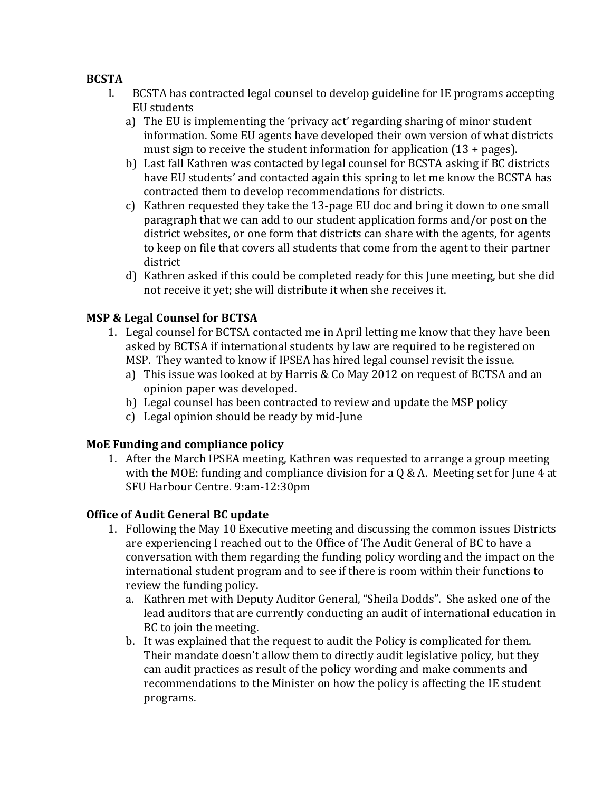### **BCSTA**

- I. BCSTA has contracted legal counsel to develop guideline for IE programs accepting EU students
	- a) The EU is implementing the 'privacy act' regarding sharing of minor student information. Some EU agents have developed their own version of what districts must sign to receive the student information for application (13 + pages).
	- b) Last fall Kathren was contacted by legal counsel for BCSTA asking if BC districts have EU students' and contacted again this spring to let me know the BCSTA has contracted them to develop recommendations for districts.
	- c) Kathren requested they take the 13-page EU doc and bring it down to one small paragraph that we can add to our student application forms and/or post on the district websites, or one form that districts can share with the agents, for agents to keep on file that covers all students that come from the agent to their partner district
	- d) Kathren asked if this could be completed ready for this June meeting, but she did not receive it yet; she will distribute it when she receives it.

## **MSP & Legal Counsel for BCTSA**

- 1. Legal counsel for BCTSA contacted me in April letting me know that they have been asked by BCTSA if international students by law are required to be registered on MSP. They wanted to know if IPSEA has hired legal counsel revisit the issue.
	- a) This issue was looked at by Harris & Co May 2012 on request of BCTSA and an opinion paper was developed.
	- b) Legal counsel has been contracted to review and update the MSP policy
	- c) Legal opinion should be ready by mid-June

## **MoE Funding and compliance policy**

1. After the March IPSEA meeting, Kathren was requested to arrange a group meeting with the MOE: funding and compliance division for a Q & A. Meeting set for June 4 at SFU Harbour Centre. 9:am-12:30pm

## **Office of Audit General BC update**

- 1. Following the May 10 Executive meeting and discussing the common issues Districts are experiencing I reached out to the Office of The Audit General of BC to have a conversation with them regarding the funding policy wording and the impact on the international student program and to see if there is room within their functions to review the funding policy.
	- a. Kathren met with Deputy Auditor General, "Sheila Dodds". She asked one of the lead auditors that are currently conducting an audit of international education in BC to join the meeting.
	- b. It was explained that the request to audit the Policy is complicated for them. Their mandate doesn't allow them to directly audit legislative policy, but they can audit practices as result of the policy wording and make comments and recommendations to the Minister on how the policy is affecting the IE student programs.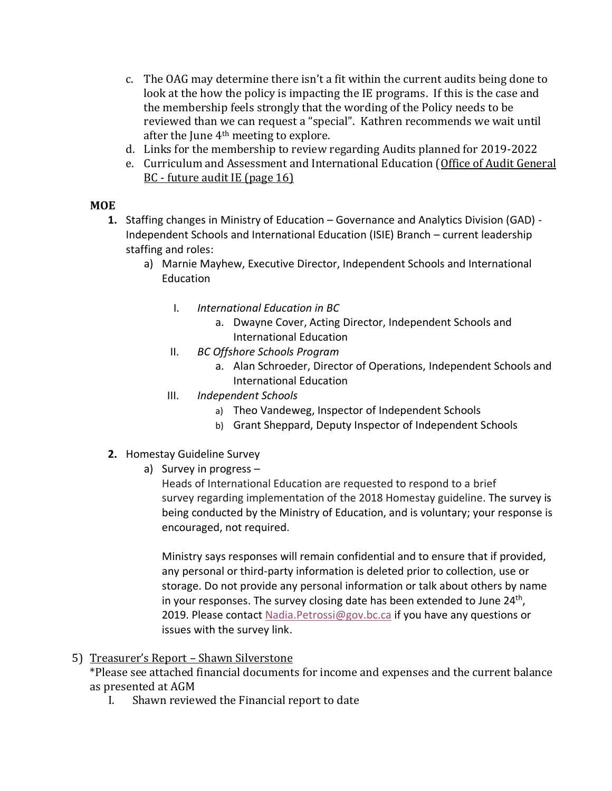- c. The OAG may determine there isn't a fit within the current audits being done to look at the how the policy is impacting the IE programs. If this is the case and the membership feels strongly that the wording of the Policy needs to be reviewed than we can request a "special". Kathren recommends we wait until after the June 4th meeting to explore.
- d. Links for the membership to review regarding Audits planned for 2019-2022
- e. Curriculum and Assessment and International Education [\(Office of Audit General](http://www.bcauditor.com/sites/default/files/publications/reports/OAGBC_PACP-2019-22_RPT.pdf)  BC - [future audit IE \(page 16\)](http://www.bcauditor.com/sites/default/files/publications/reports/OAGBC_PACP-2019-22_RPT.pdf)

### **MOE**

- **1.** Staffing changes in Ministry of Education Governance and Analytics Division (GAD) Independent Schools and International Education (ISIE) Branch – current leadership staffing and roles:
	- a) Marnie Mayhew, Executive Director, Independent Schools and International Education
		- I. *International Education in BC*
			- a. Dwayne Cover, Acting Director, Independent Schools and International Education
		- II. *BC Offshore Schools Program*
			- a. Alan Schroeder, Director of Operations, Independent Schools and International Education
		- III. *Independent Schools*
			- a) Theo Vandeweg, Inspector of Independent Schools
			- b) Grant Sheppard, Deputy Inspector of Independent Schools
- **2.** Homestay Guideline Survey
	- a) Survey in progress –

Heads of International Education are requested to respond to a brief survey regarding implementation of the 2018 Homestay guideline. The survey is being conducted by the Ministry of Education, and is voluntary; your response is encouraged, not required.

Ministry says responses will remain confidential and to ensure that if provided, any personal or third-party information is deleted prior to collection, use or storage. Do not provide any personal information or talk about others by name in your responses. The survey closing date has been extended to June 24<sup>th</sup>, 2019. Please contact [Nadia.Petrossi@gov.bc.ca](mailto:Nadia.Petrossi@gov.bc.ca) if you have any questions or issues with the survey link.

#### 5) Treasurer's Report – Shawn Silverstone

\*Please see attached financial documents for income and expenses and the current balance as presented at AGM

I. Shawn reviewed the Financial report to date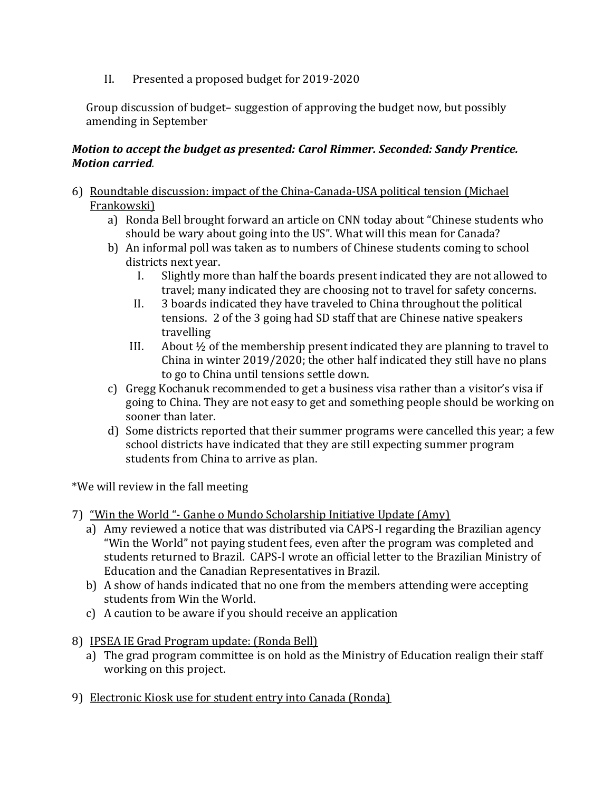II. Presented a proposed budget for 2019-2020

Group discussion of budget– suggestion of approving the budget now, but possibly amending in September

#### *Motion to accept the budget as presented: Carol Rimmer. Seconded: Sandy Prentice. Motion carried.*

- 6) Roundtable discussion: impact of the China-Canada-USA political tension (Michael Frankowski)
	- a) Ronda Bell brought forward an article on CNN today about "Chinese students who should be wary about going into the US". What will this mean for Canada?
	- b) An informal poll was taken as to numbers of Chinese students coming to school districts next year.
		- I. Slightly more than half the boards present indicated they are not allowed to travel; many indicated they are choosing not to travel for safety concerns.
		- II. 3 boards indicated they have traveled to China throughout the political tensions. 2 of the 3 going had SD staff that are Chinese native speakers travelling
		- III. About ½ of the membership present indicated they are planning to travel to China in winter 2019/2020; the other half indicated they still have no plans to go to China until tensions settle down.
	- c) Gregg Kochanuk recommended to get a business visa rather than a visitor's visa if going to China. They are not easy to get and something people should be working on sooner than later.
	- d) Some districts reported that their summer programs were cancelled this year; a few school districts have indicated that they are still expecting summer program students from China to arrive as plan.

\*We will review in the fall meeting

- 7) "Win the World "- Ganhe o Mundo Scholarship Initiative Update (Amy)
	- a) Amy reviewed a notice that was distributed via CAPS-I regarding the Brazilian agency "Win the World" not paying student fees, even after the program was completed and students returned to Brazil. CAPS-I wrote an official letter to the Brazilian Ministry of Education and the Canadian Representatives in Brazil.
	- b) A show of hands indicated that no one from the members attending were accepting students from Win the World.
	- c) A caution to be aware if you should receive an application
- 8) IPSEA IE Grad Program update: (Ronda Bell)
	- a) The grad program committee is on hold as the Ministry of Education realign their staff working on this project.
- 9) Electronic Kiosk use for student entry into Canada (Ronda)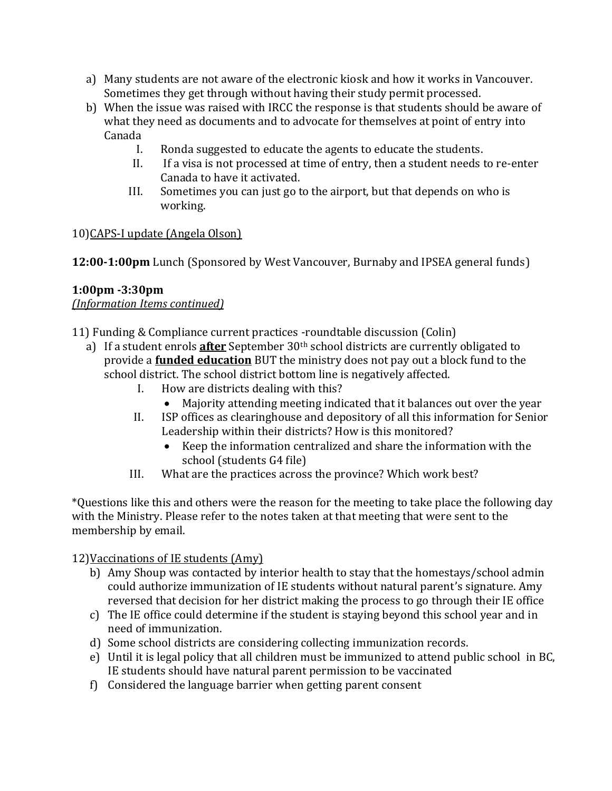- a) Many students are not aware of the electronic kiosk and how it works in Vancouver. Sometimes they get through without having their study permit processed.
- b) When the issue was raised with IRCC the response is that students should be aware of what they need as documents and to advocate for themselves at point of entry into Canada
	- I. Ronda suggested to educate the agents to educate the students.
	- II. If a visa is not processed at time of entry, then a student needs to re-enter Canada to have it activated.
	- III. Sometimes you can just go to the airport, but that depends on who is working.

## 10)CAPS-I update (Angela Olson)

**12:00-1:00pm** Lunch (Sponsored by West Vancouver, Burnaby and IPSEA general funds)

## **1:00pm -3:30pm**

*(Information Items continued)*

11) Funding & Compliance current practices -roundtable discussion (Colin)

- a) If a student enrols **after** September 30th school districts are currently obligated to provide a **funded education** BUT the ministry does not pay out a block fund to the school district. The school district bottom line is negatively affected.
	- I. How are districts dealing with this?
		- Majority attending meeting indicated that it balances out over the year
	- II. ISP offices as clearinghouse and depository of all this information for Senior Leadership within their districts? How is this monitored?
		- Keep the information centralized and share the information with the school (students G4 file)
	- III. What are the practices across the province? Which work best?

\*Questions like this and others were the reason for the meeting to take place the following day with the Ministry. Please refer to the notes taken at that meeting that were sent to the membership by email.

12)Vaccinations of IE students (Amy)

- b) Amy Shoup was contacted by interior health to stay that the homestays/school admin could authorize immunization of IE students without natural parent's signature. Amy reversed that decision for her district making the process to go through their IE office
- c) The IE office could determine if the student is staying beyond this school year and in need of immunization.
- d) Some school districts are considering collecting immunization records.
- e) Until it is legal policy that all children must be immunized to attend public school in BC, IE students should have natural parent permission to be vaccinated
- f) Considered the language barrier when getting parent consent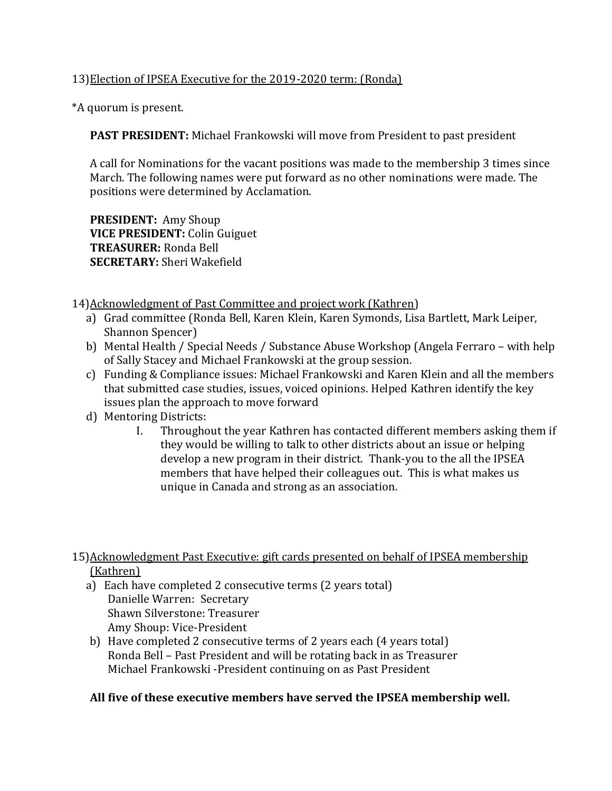### 13)Election of IPSEA Executive for the 2019-2020 term: (Ronda)

\*A quorum is present.

**PAST PRESIDENT:** Michael Frankowski will move from President to past president

A call for Nominations for the vacant positions was made to the membership 3 times since March. The following names were put forward as no other nominations were made. The positions were determined by Acclamation.

**PRESIDENT:** Amy Shoup **VICE PRESIDENT:** Colin Guiguet **TREASURER:** Ronda Bell **SECRETARY:** Sheri Wakefield

14)Acknowledgment of Past Committee and project work (Kathren)

- a) Grad committee (Ronda Bell, Karen Klein, Karen Symonds, Lisa Bartlett, Mark Leiper, Shannon Spencer)
- b) Mental Health / Special Needs / Substance Abuse Workshop (Angela Ferraro with help of Sally Stacey and Michael Frankowski at the group session.
- c) Funding & Compliance issues: Michael Frankowski and Karen Klein and all the members that submitted case studies, issues, voiced opinions. Helped Kathren identify the key issues plan the approach to move forward
- d) Mentoring Districts:
	- I. Throughout the year Kathren has contacted different members asking them if they would be willing to talk to other districts about an issue or helping develop a new program in their district. Thank-you to the all the IPSEA members that have helped their colleagues out. This is what makes us unique in Canada and strong as an association.

15)Acknowledgment Past Executive: gift cards presented on behalf of IPSEA membership (Kathren)

- a) Each have completed 2 consecutive terms (2 years total) Danielle Warren: Secretary Shawn Silverstone: Treasurer Amy Shoup: Vice-President
- b) Have completed 2 consecutive terms of 2 years each (4 years total) Ronda Bell – Past President and will be rotating back in as Treasurer Michael Frankowski -President continuing on as Past President

#### **All five of these executive members have served the IPSEA membership well.**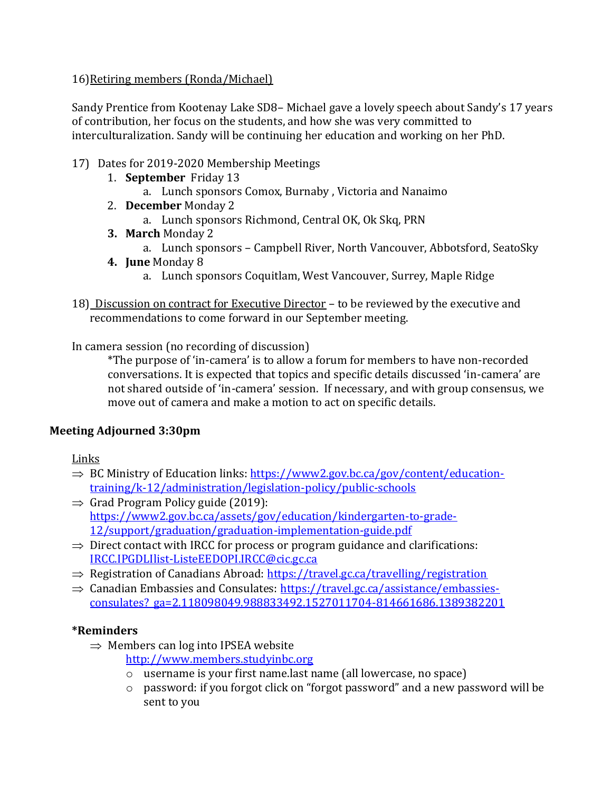## 16)Retiring members (Ronda/Michael)

Sandy Prentice from Kootenay Lake SD8– Michael gave a lovely speech about Sandy's 17 years of contribution, her focus on the students, and how she was very committed to interculturalization. Sandy will be continuing her education and working on her PhD.

### 17) Dates for 2019-2020 Membership Meetings

- 1. **September** Friday 13
	- a. Lunch sponsors Comox, Burnaby , Victoria and Nanaimo
- 2. **December** Monday 2
	- a. Lunch sponsors Richmond, Central OK, Ok Skq, PRN
- **3. March** Monday 2
	- a. Lunch sponsors Campbell River, North Vancouver, Abbotsford, SeatoSky
- **4. June** Monday 8
	- a. Lunch sponsors Coquitlam, West Vancouver, Surrey, Maple Ridge
- 18) Discussion on contract for Executive Director to be reviewed by the executive and recommendations to come forward in our September meeting.

In camera session (no recording of discussion)

\*The purpose of 'in-camera' is to allow a forum for members to have non-recorded conversations. It is expected that topics and specific details discussed 'in-camera' are not shared outside of 'in-camera' session. If necessary, and with group consensus, we move out of camera and make a motion to act on specific details.

## **Meeting Adjourned 3:30pm**

Links

- $\Rightarrow$  BC Ministry of Education links: [https://www2.gov.bc.ca/gov/content/education](https://www2.gov.bc.ca/gov/content/education-training/k-12/administration/legislation-policy/public-schools)[training/k-12/administration/legislation-policy/public-schools](https://www2.gov.bc.ca/gov/content/education-training/k-12/administration/legislation-policy/public-schools)
- $\Rightarrow$  Grad Program Policy guide (2019): [https://www2.gov.bc.ca/assets/gov/education/kindergarten-to-grade-](https://www2.gov.bc.ca/assets/gov/education/kindergarten-to-grade-12/support/graduation/graduation-implementation-guide.pdf)[12/support/graduation/graduation-implementation-guide.pdf](https://www2.gov.bc.ca/assets/gov/education/kindergarten-to-grade-12/support/graduation/graduation-implementation-guide.pdf)
- $\Rightarrow$  Direct contact with IRCC for process or program guidance and clarifications: [IRCC.IPGDLIlist-ListeEEDOPI.IRCC@cic.gc.ca](mailto:IRCC.IPGDLIlist-ListeEEDOPI.IRCC@cic.gc.ca)
- $\Rightarrow$  Registration of Canadians Abroad:<https://travel.gc.ca/travelling/registration>
- $\Rightarrow$  Canadian Embassies and Consulates: [https://travel.gc.ca/assistance/embassies](https://travel.gc.ca/assistance/embassies-consulates?_ga=2.118098049.988833492.1527011704-814661686.1389382201)[consulates?\\_ga=2.118098049.988833492.1527011704-814661686.1389382201](https://travel.gc.ca/assistance/embassies-consulates?_ga=2.118098049.988833492.1527011704-814661686.1389382201)

## **\*Reminders**

 $\Rightarrow$  Members can log into IPSEA website

[http://www.members.studyinbc.org](http://www.members.studyinbc.org/)

- o username is your first name.last name (all lowercase, no space)
- o password: if you forgot click on "forgot password" and a new password will be sent to you